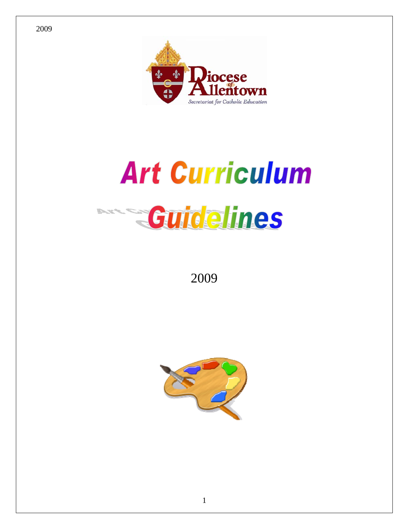

# **Art Curriculum**



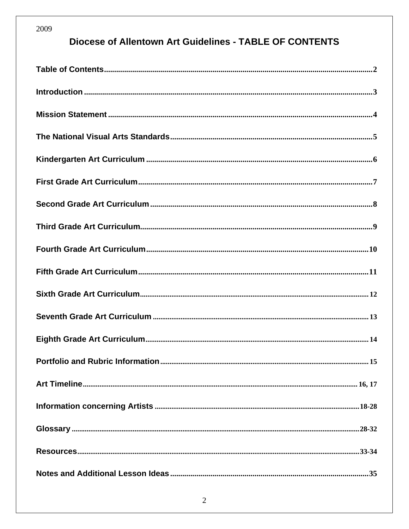## **Diocese of Allentown Art Guidelines - TABLE OF CONTENTS**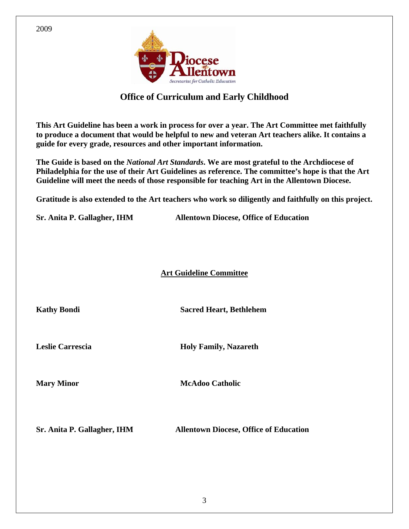

#### **Office of Curriculum and Early Childhood**

**This Art Guideline has been a work in process for over a year. The Art Committee met faithfully to produce a document that would be helpful to new and veteran Art teachers alike. It contains a guide for every grade, resources and other important information.** 

**The Guide is based on the** *National Art Standards***. We are most grateful to the Archdiocese of Philadelphia for the use of their Art Guidelines as reference. The committee's hope is that the Art Guideline will meet the needs of those responsible for teaching Art in the Allentown Diocese.** 

**Gratitude is also extended to the Art teachers who work so diligently and faithfully on this project.** 

**Sr. Anita P. Gallagher, IHM Allentown Diocese, Office of Education** 

**Art Guideline Committee**

**Kathy Bondi Sacred Heart, Bethlehem** 

**Leslie Carrescia Holy Family, Nazareth** 

**Mary Minor** McAdoo Catholic

**Sr. Anita P. Gallagher, IHM Allentown Diocese, Office of Education** 

2009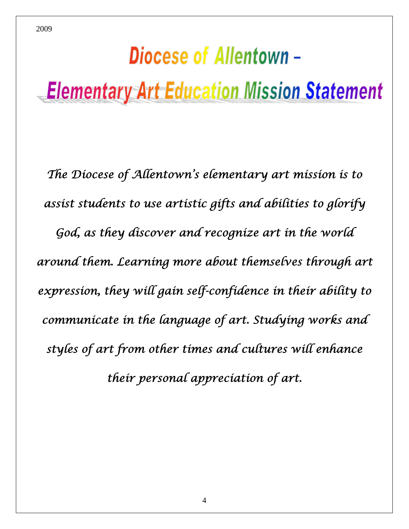## Diocese of Allentown -**Elementary Art Education Mission Statement**

2009

*The Diocese of Allentown's elementary art mission is to assist students to use artistic gifts and abilities to glorify God, as they discover and recognize art in the world around them. Learning more about themselves through art expression, they will gain self-confidence in their ability to communicate in the language of art. Studying works and styles of art from other times and cultures will enhance their personal appreciation of art.*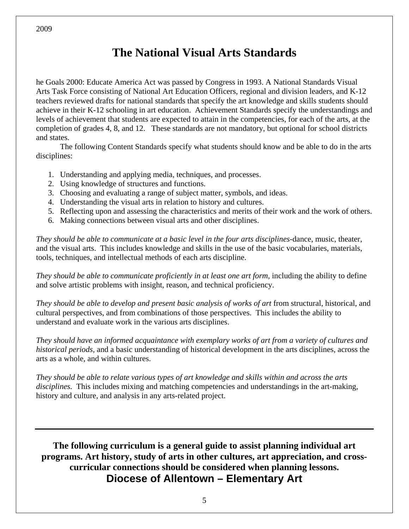## **The National Visual Arts Standards**

he Goals 2000: Educate America Act was passed by Congress in 1993. A National Standards Visual Arts Task Force consisting of National Art Education Officers, regional and division leaders, and K-12 teachers reviewed drafts for national standards that specify the art knowledge and skills students should achieve in their K-12 schooling in art education. Achievement Standards specify the understandings and levels of achievement that students are expected to attain in the competencies, for each of the arts, at the completion of grades 4, 8, and 12. These standards are not mandatory, but optional for school districts and states.

 The following Content Standards specify what students should know and be able to do in the arts disciplines:

- 1. Understanding and applying media, techniques, and processes.
- 2. Using knowledge of structures and functions.
- 3. Choosing and evaluating a range of subject matter, symbols, and ideas.
- 4. Understanding the visual arts in relation to history and cultures.
- 5. Reflecting upon and assessing the characteristics and merits of their work and the work of others.
- 6. Making connections between visual arts and other disciplines.

*They should be able to communicate at a basic level in the four arts disciplines-*dance, music, theater, and the visual arts. This includes knowledge and skills in the use of the basic vocabularies, materials, tools, techniques, and intellectual methods of each arts discipline.

*They should be able to communicate proficiently in at least one art form,* including the ability to define and solve artistic problems with insight, reason, and technical proficiency.

*They should be able to develop and present basic analysis of works of art* from structural, historical, and cultural perspectives, and from combinations of those perspectives. This includes the ability to understand and evaluate work in the various arts disciplines.

*They should have an informed acquaintance with exemplary works of art from a variety of cultures and historical periods,* and a basic understanding of historical development in the arts disciplines, across the arts as a whole, and within cultures.

*They should be able to relate various types of art knowledge and skills within and across the arts disciplines.* This includes mixing and matching competencies and understandings in the art-making, history and culture, and analysis in any arts-related project.

**The following curriculum is a general guide to assist planning individual art programs. Art history, study of arts in other cultures, art appreciation, and crosscurricular connections should be considered when planning lessons. Diocese of Allentown – Elementary Art** 

2009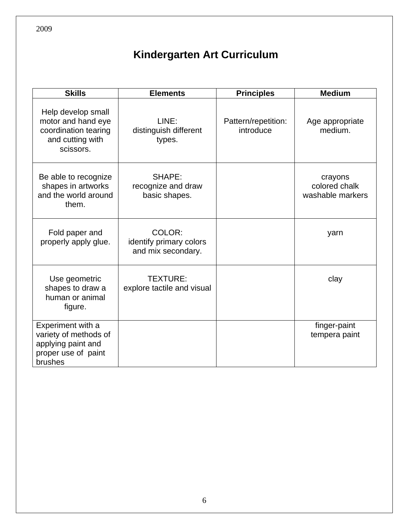## **Kindergarten Art Curriculum**

| <b>Skills</b>                                                                                      | <b>Elements</b>                                         | <b>Principles</b>                | <b>Medium</b>                                |
|----------------------------------------------------------------------------------------------------|---------------------------------------------------------|----------------------------------|----------------------------------------------|
| Help develop small<br>motor and hand eye<br>coordination tearing<br>and cutting with<br>scissors.  | LINE:<br>distinguish different<br>types.                | Pattern/repetition:<br>introduce | Age appropriate<br>medium.                   |
| Be able to recognize<br>shapes in artworks<br>and the world around<br>them.                        | SHAPE:<br>recognize and draw<br>basic shapes.           |                                  | crayons<br>colored chalk<br>washable markers |
| Fold paper and<br>properly apply glue.                                                             | COLOR:<br>identify primary colors<br>and mix secondary. |                                  | yarn                                         |
| Use geometric<br>shapes to draw a<br>human or animal<br>figure.                                    | <b>TEXTURE:</b><br>explore tactile and visual           |                                  | clay                                         |
| Experiment with a<br>variety of methods of<br>applying paint and<br>proper use of paint<br>brushes |                                                         |                                  | finger-paint<br>tempera paint                |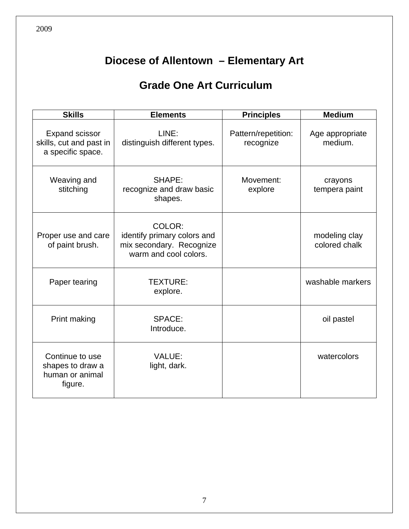## **Grade One Art Curriculum**

| <b>Skills</b>                                                         | <b>Elements</b>                                                                            | <b>Principles</b>    | <b>Medium</b>                  |
|-----------------------------------------------------------------------|--------------------------------------------------------------------------------------------|----------------------|--------------------------------|
| <b>Expand scissor</b><br>skills, cut and past in<br>a specific space. | LINE:<br>Pattern/repetition:<br>distinguish different types.<br>recognize                  |                      | Age appropriate<br>medium.     |
| Weaving and<br>stitching                                              | SHAPE:<br>recognize and draw basic<br>shapes.                                              | Movement:<br>explore | crayons<br>tempera paint       |
| Proper use and care<br>of paint brush.                                | COLOR:<br>identify primary colors and<br>mix secondary. Recognize<br>warm and cool colors. |                      | modeling clay<br>colored chalk |
| Paper tearing                                                         | TEXTURE:<br>explore.                                                                       |                      | washable markers               |
| Print making                                                          | SPACE:<br>Introduce.                                                                       |                      | oil pastel                     |
| Continue to use<br>shapes to draw a<br>human or animal<br>figure.     | <b>VALUE:</b><br>light, dark.                                                              |                      | watercolors                    |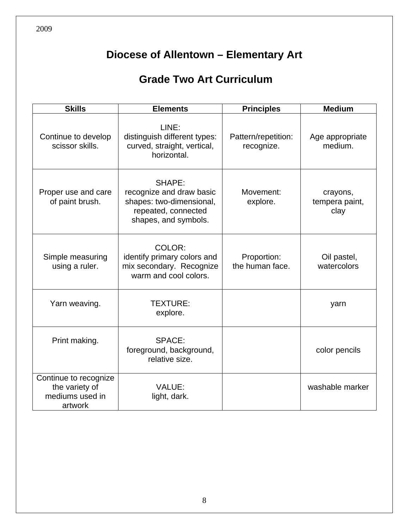## **Grade Two Art Curriculum**

| <b>Skills</b>                                                         | <b>Elements</b>                                                                                               | <b>Principles</b>                 | <b>Medium</b>                      |
|-----------------------------------------------------------------------|---------------------------------------------------------------------------------------------------------------|-----------------------------------|------------------------------------|
| Continue to develop<br>scissor skills.                                | LINE:<br>distinguish different types:<br>curved, straight, vertical,<br>horizontal.                           | Pattern/repetition:<br>recognize. | Age appropriate<br>medium.         |
| Proper use and care<br>of paint brush.                                | SHAPE:<br>recognize and draw basic<br>shapes: two-dimensional,<br>repeated, connected<br>shapes, and symbols. | Movement:<br>explore.             | crayons,<br>tempera paint,<br>clay |
| Simple measuring<br>using a ruler.                                    | COLOR:<br>identify primary colors and<br>mix secondary. Recognize<br>warm and cool colors.                    | Proportion:<br>the human face.    | Oil pastel,<br>watercolors         |
| Yarn weaving.                                                         | <b>TEXTURE:</b><br>explore.                                                                                   |                                   | yarn                               |
| Print making.                                                         | SPACE:<br>foreground, background,<br>relative size.                                                           |                                   | color pencils                      |
| Continue to recognize<br>the variety of<br>mediums used in<br>artwork | <b>VALUE:</b><br>light, dark.                                                                                 |                                   | washable marker                    |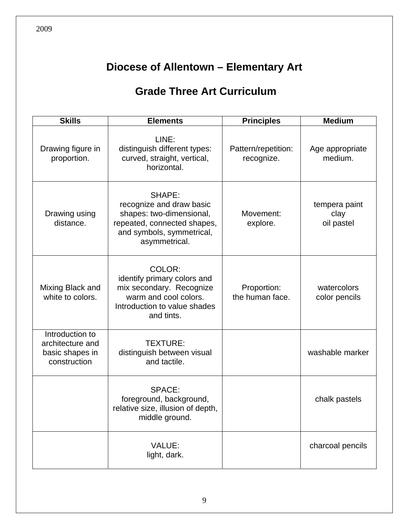## **Grade Three Art Curriculum**

| <b>Skills</b>                                                          | <b>Elements</b>                                                                                                                             | <b>Principles</b>              | <b>Medium</b>                       |
|------------------------------------------------------------------------|---------------------------------------------------------------------------------------------------------------------------------------------|--------------------------------|-------------------------------------|
| Drawing figure in<br>proportion.                                       | LINE:<br>distinguish different types:<br>Pattern/repetition:<br>curved, straight, vertical,<br>recognize.<br>horizontal.                    |                                | Age appropriate<br>medium.          |
| Drawing using<br>distance.                                             | SHAPE:<br>recognize and draw basic<br>shapes: two-dimensional,<br>repeated, connected shapes,<br>and symbols, symmetrical,<br>asymmetrical. | Movement:<br>explore.          | tempera paint<br>clay<br>oil pastel |
| Mixing Black and<br>white to colors.                                   | COLOR:<br>identify primary colors and<br>mix secondary. Recognize<br>warm and cool colors.<br>Introduction to value shades<br>and tints.    | Proportion:<br>the human face. | watercolors<br>color pencils        |
| Introduction to<br>architecture and<br>basic shapes in<br>construction | TEXTURE:<br>distinguish between visual<br>and tactile.                                                                                      |                                | washable marker                     |
|                                                                        | SPACE:<br>foreground, background,<br>relative size, illusion of depth,<br>middle ground.                                                    |                                | chalk pastels                       |
|                                                                        | VALUE:<br>light, dark.                                                                                                                      |                                | charcoal pencils                    |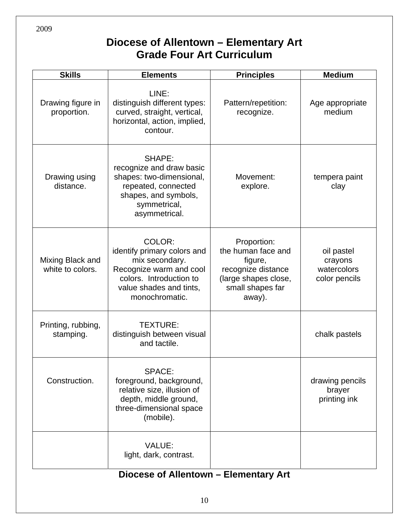## **Diocese of Allentown – Elementary Art Grade Four Art Curriculum**

| <b>Skills</b>                        | <b>Elements</b>                                                                                                                                                         | <b>Principles</b>                                                                                                        | <b>Medium</b>                                         |  |
|--------------------------------------|-------------------------------------------------------------------------------------------------------------------------------------------------------------------------|--------------------------------------------------------------------------------------------------------------------------|-------------------------------------------------------|--|
| Drawing figure in<br>proportion.     | LINE:<br>distinguish different types:<br>Pattern/repetition:<br>curved, straight, vertical,<br>recognize.<br>horizontal, action, implied,<br>contour.                   |                                                                                                                          | Age appropriate<br>medium                             |  |
| Drawing using<br>distance.           | SHAPE:<br>recognize and draw basic<br>shapes: two-dimensional,<br>Movement:<br>repeated, connected<br>explore.<br>shapes, and symbols,<br>symmetrical,<br>asymmetrical. |                                                                                                                          | tempera paint<br>clay                                 |  |
| Mixing Black and<br>white to colors. | COLOR:<br>identify primary colors and<br>mix secondary.<br>Recognize warm and cool<br>colors. Introduction to<br>value shades and tints,<br>monochromatic.              | Proportion:<br>the human face and<br>figure,<br>recognize distance<br>(large shapes close,<br>small shapes far<br>away). | oil pastel<br>crayons<br>watercolors<br>color pencils |  |
| Printing, rubbing,<br>stamping.      | TEXTURE:<br>distinguish between visual<br>and tactile.                                                                                                                  |                                                                                                                          | chalk pastels                                         |  |
| Construction.                        | SPACE:<br>foreground, background,<br>relative size, illusion of<br>depth, middle ground,<br>three-dimensional space<br>(mobile).                                        |                                                                                                                          | drawing pencils<br>brayer<br>printing ink             |  |
|                                      | <b>VALUE:</b><br>light, dark, contrast.                                                                                                                                 |                                                                                                                          |                                                       |  |

## **Diocese of Allentown – Elementary Art**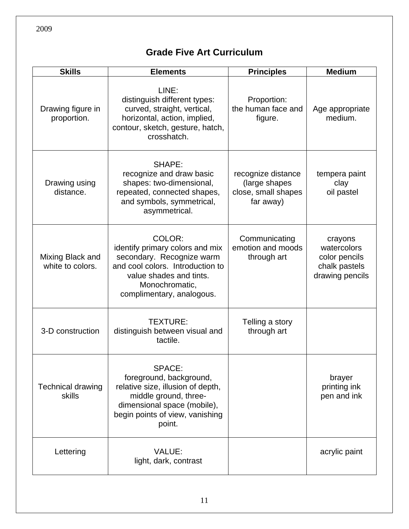## **Grade Five Art Curriculum**

| <b>Skills</b>                        | <b>Elements</b>                                                                                                                                                                      | <b>Principles</b>                                                       | <b>Medium</b>                                                               |
|--------------------------------------|--------------------------------------------------------------------------------------------------------------------------------------------------------------------------------------|-------------------------------------------------------------------------|-----------------------------------------------------------------------------|
| Drawing figure in<br>proportion.     | LINE:<br>distinguish different types:<br>curved, straight, vertical,<br>horizontal, action, implied,<br>contour, sketch, gesture, hatch,<br>crosshatch.                              | Proportion:<br>the human face and<br>figure.                            | Age appropriate<br>medium.                                                  |
| Drawing using<br>distance.           | SHAPE:<br>recognize and draw basic<br>shapes: two-dimensional,<br>repeated, connected shapes,<br>and symbols, symmetrical,<br>asymmetrical.                                          | recognize distance<br>(large shapes<br>close, small shapes<br>far away) | tempera paint<br>clay<br>oil pastel                                         |
| Mixing Black and<br>white to colors. | COLOR:<br>identify primary colors and mix<br>secondary. Recognize warm<br>and cool colors. Introduction to<br>value shades and tints.<br>Monochromatic,<br>complimentary, analogous. | Communicating<br>emotion and moods<br>through art                       | crayons<br>watercolors<br>color pencils<br>chalk pastels<br>drawing pencils |
| 3-D construction                     | <b>TEXTURE:</b><br>distinguish between visual and<br>tactile.                                                                                                                        | Telling a story<br>through art                                          |                                                                             |
| <b>Technical drawing</b><br>skills   | SPACE:<br>foreground, background,<br>relative size, illusion of depth,<br>middle ground, three-<br>dimensional space (mobile),<br>begin points of view, vanishing<br>point.          |                                                                         | brayer<br>printing ink<br>pen and ink                                       |
| Lettering                            | VALUE:<br>light, dark, contrast                                                                                                                                                      |                                                                         | acrylic paint                                                               |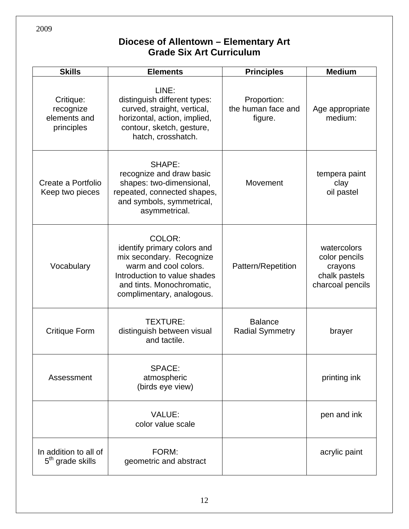#### **Diocese of Allentown – Elementary Art Grade Six Art Curriculum**

| <b>Skills</b>                                         | <b>Elements</b>                                                                                                                                                                      | <b>Principles</b>                            | <b>Medium</b>                                                                |
|-------------------------------------------------------|--------------------------------------------------------------------------------------------------------------------------------------------------------------------------------------|----------------------------------------------|------------------------------------------------------------------------------|
| Critique:<br>recognize<br>elements and<br>principles  | LINE:<br>distinguish different types:<br>curved, straight, vertical,<br>horizontal, action, implied,<br>contour, sketch, gesture,<br>hatch, crosshatch.                              | Proportion:<br>the human face and<br>figure. | Age appropriate<br>medium:                                                   |
| Create a Portfolio<br>Keep two pieces                 | SHAPE:<br>recognize and draw basic<br>shapes: two-dimensional,<br>repeated, connected shapes,<br>and symbols, symmetrical,<br>asymmetrical.                                          | Movement                                     | tempera paint<br>clay<br>oil pastel                                          |
| Vocabulary                                            | COLOR:<br>identify primary colors and<br>mix secondary. Recognize<br>warm and cool colors.<br>Introduction to value shades<br>and tints. Monochromatic,<br>complimentary, analogous. | Pattern/Repetition                           | watercolors<br>color pencils<br>crayons<br>chalk pastels<br>charcoal pencils |
| <b>Critique Form</b>                                  | <b>TEXTURE:</b><br>distinguish between visual<br>and tactile.                                                                                                                        | <b>Balance</b><br><b>Radial Symmetry</b>     | brayer                                                                       |
| Assessment                                            | SPACE:<br>atmospheric<br>(birds eye view)                                                                                                                                            |                                              | printing ink                                                                 |
|                                                       | <b>VALUE:</b><br>color value scale                                                                                                                                                   |                                              | pen and ink                                                                  |
| In addition to all of<br>5 <sup>th</sup> grade skills | FORM:<br>geometric and abstract                                                                                                                                                      |                                              | acrylic paint                                                                |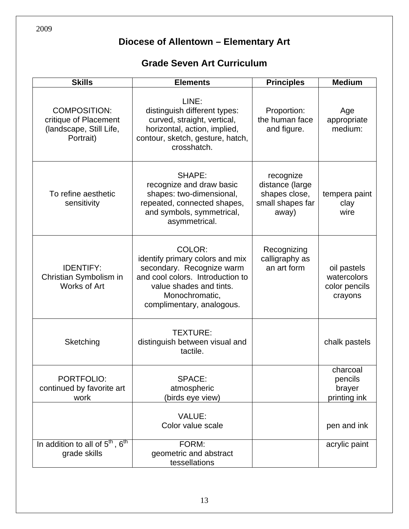## **Grade Seven Art Curriculum**

| <b>Skills</b>                                                                        | <b>Elements</b>                                                                                                                                                                      | <b>Principles</b>                                                          | <b>Medium</b>                                          |
|--------------------------------------------------------------------------------------|--------------------------------------------------------------------------------------------------------------------------------------------------------------------------------------|----------------------------------------------------------------------------|--------------------------------------------------------|
| <b>COMPOSITION:</b><br>critique of Placement<br>(landscape, Still Life,<br>Portrait) | LINE:<br>distinguish different types:<br>curved, straight, vertical,<br>horizontal, action, implied,<br>contour, sketch, gesture, hatch,<br>crosshatch.                              | Proportion:<br>the human face<br>and figure.                               | Age<br>appropriate<br>medium:                          |
| To refine aesthetic<br>sensitivity                                                   | SHAPE:<br>recognize and draw basic<br>shapes: two-dimensional,<br>repeated, connected shapes,<br>and symbols, symmetrical,<br>asymmetrical.                                          | recognize<br>distance (large<br>shapes close,<br>small shapes far<br>away) | tempera paint<br>clay<br>wire                          |
| <b>IDENTIFY:</b><br>Christian Symbolism in<br>Works of Art                           | COLOR:<br>identify primary colors and mix<br>secondary. Recognize warm<br>and cool colors. Introduction to<br>value shades and tints.<br>Monochromatic,<br>complimentary, analogous. | Recognizing<br>calligraphy as<br>an art form                               | oil pastels<br>watercolors<br>color pencils<br>crayons |
| Sketching                                                                            | TEXTURE:<br>distinguish between visual and<br>tactile.                                                                                                                               |                                                                            | chalk pastels                                          |
| PORTFOLIO:<br>continued by favorite art<br>work                                      | <b>SPACE:</b><br>atmospheric<br>(birds eye view)                                                                                                                                     |                                                                            | charcoal<br>pencils<br>brayer<br>printing ink          |
|                                                                                      | VALUE:<br>Color value scale                                                                                                                                                          |                                                                            | pen and ink                                            |
| In addition to all of $5^{\text{th}}$ , $6^{\text{th}}$<br>grade skills              | FORM:<br>geometric and abstract<br>tessellations                                                                                                                                     |                                                                            | acrylic paint                                          |

2009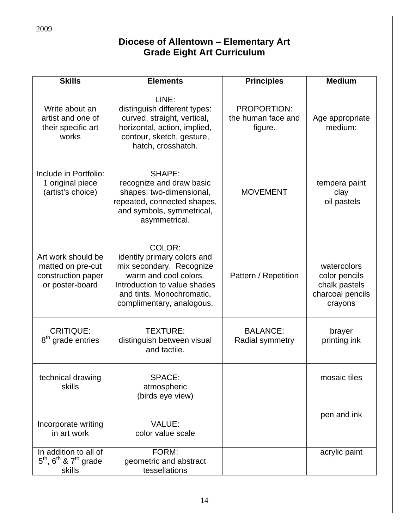#### **Diocese of Allentown – Elementary Art Grade Eight Art Curriculum**

| <b>Skills</b>                                                                      | <b>Elements</b>                                                                                                                                                                      | <b>Principles</b>                            | <b>Medium</b>                                                                |
|------------------------------------------------------------------------------------|--------------------------------------------------------------------------------------------------------------------------------------------------------------------------------------|----------------------------------------------|------------------------------------------------------------------------------|
| Write about an<br>artist and one of<br>their specific art<br>works                 | LINE:<br>distinguish different types:<br>curved, straight, vertical,<br>horizontal, action, implied,<br>contour, sketch, gesture,<br>hatch, crosshatch.                              | PROPORTION:<br>the human face and<br>figure. | Age appropriate<br>medium:                                                   |
| Include in Portfolio:<br>1 original piece<br>(artist's choice)                     | SHAPE:<br>recognize and draw basic<br>shapes: two-dimensional,<br>repeated, connected shapes,<br>and symbols, symmetrical,<br>asymmetrical.                                          | <b>MOVEMENT</b>                              | tempera paint<br>clay<br>oil pastels                                         |
| Art work should be<br>matted on pre-cut<br>construction paper<br>or poster-board   | COLOR:<br>identify primary colors and<br>mix secondary. Recognize<br>warm and cool colors.<br>Introduction to value shades<br>and tints. Monochromatic,<br>complimentary, analogous. | Pattern / Repetition                         | watercolors<br>color pencils<br>chalk pastels<br>charcoal pencils<br>crayons |
| <b>CRITIQUE:</b><br>8 <sup>th</sup> grade entries                                  | <b>TEXTURE:</b><br>distinguish between visual<br>and tactile.                                                                                                                        | <b>BALANCE:</b><br>Radial symmetry           | brayer<br>printing ink                                                       |
| technical drawing<br>skills                                                        | SPACE:<br>atmospheric<br>(birds eye view)                                                                                                                                            |                                              | mosaic tiles                                                                 |
| Incorporate writing<br>in art work                                                 | <b>VALUE:</b><br>color value scale                                                                                                                                                   |                                              | pen and ink                                                                  |
| In addition to all of<br>$5th$ , 6 <sup>th</sup> & 7 <sup>th</sup> grade<br>skills | FORM:<br>geometric and abstract<br>tessellations                                                                                                                                     |                                              | acrylic paint                                                                |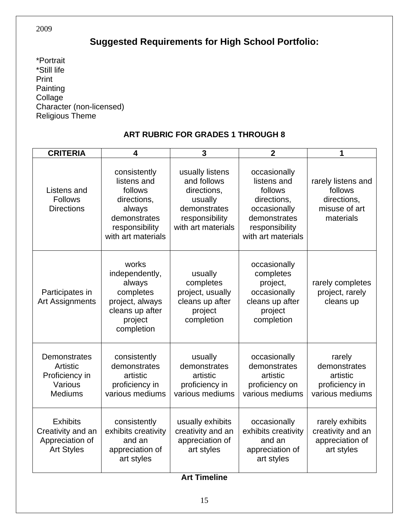## **Suggested Requirements for High School Portfolio:**

\*Portrait \*Still life Print Painting Collage Character (non-licensed) Religious Theme

#### **ART RUBRIC FOR GRADES 1 THROUGH 8**

| <b>CRITERIA</b>                                                              | 4                                                                                                                       | $\overline{3}$                                                                                                   | $\overline{2}$                                                                                                                | 1                                                                          |
|------------------------------------------------------------------------------|-------------------------------------------------------------------------------------------------------------------------|------------------------------------------------------------------------------------------------------------------|-------------------------------------------------------------------------------------------------------------------------------|----------------------------------------------------------------------------|
| Listens and<br><b>Follows</b><br><b>Directions</b>                           | consistently<br>listens and<br>follows<br>directions,<br>always<br>demonstrates<br>responsibility<br>with art materials | usually listens<br>and follows<br>directions,<br>usually<br>demonstrates<br>responsibility<br>with art materials | occasionally<br>listens and<br>follows<br>directions,<br>occasionally<br>demonstrates<br>responsibility<br>with art materials | rarely listens and<br>follows<br>directions,<br>misuse of art<br>materials |
| Participates in<br><b>Art Assignments</b>                                    | works<br>independently,<br>always<br>completes<br>project, always<br>cleans up after<br>project<br>completion           | usually<br>completes<br>project, usually<br>cleans up after<br>project<br>completion                             | occasionally<br>completes<br>project,<br>occasionally<br>cleans up after<br>project<br>completion                             | rarely completes<br>project, rarely<br>cleans up                           |
| Demonstrates<br>Artistic<br>Proficiency in<br>Various<br><b>Mediums</b>      | consistently<br>demonstrates<br>artistic<br>proficiency in<br>various mediums                                           | usually<br>demonstrates<br>artistic<br>proficiency in<br>various mediums                                         | occasionally<br>demonstrates<br>artistic<br>proficiency on<br>various mediums                                                 | rarely<br>demonstrates<br>artistic<br>proficiency in<br>various mediums    |
| <b>Exhibits</b><br>Creativity and an<br>Appreciation of<br><b>Art Styles</b> | consistently<br>exhibits creativity<br>and an<br>appreciation of<br>art styles                                          | usually exhibits<br>creativity and an<br>appreciation of<br>art styles                                           | occasionally<br>exhibits creativity<br>and an<br>appreciation of<br>art styles                                                | rarely exhibits<br>creativity and an<br>appreciation of<br>art styles      |
| <b>Art Timeline</b>                                                          |                                                                                                                         |                                                                                                                  |                                                                                                                               |                                                                            |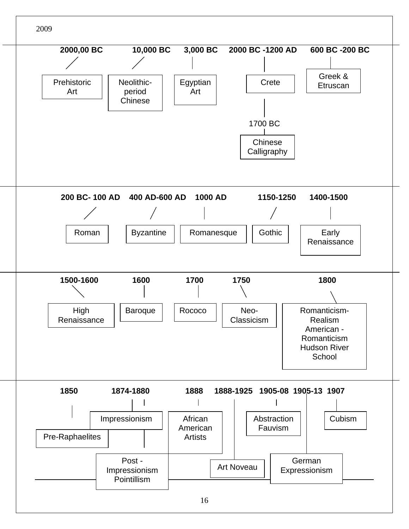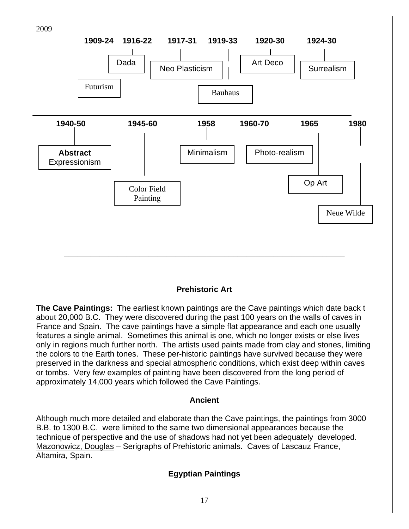

#### **Prehistoric Art**

**The Cave Paintings:** The earliest known paintings are the Cave paintings which date back t about 20,000 B.C. They were discovered during the past 100 years on the walls of caves in France and Spain. The cave paintings have a simple flat appearance and each one usually features a single animal. Sometimes this animal is one, which no longer exists or else lives only in regions much further north. The artists used paints made from clay and stones, limiting the colors to the Earth tones. These per-historic paintings have survived because they were preserved in the darkness and special atmospheric conditions, which exist deep within caves or tombs. Very few examples of painting have been discovered from the long period of approximately 14,000 years which followed the Cave Paintings.

#### **Ancient**

Although much more detailed and elaborate than the Cave paintings, the paintings from 3000 B.B. to 1300 B.C. were limited to the same two dimensional appearances because the technique of perspective and the use of shadows had not yet been adequately developed. Mazonowicz, Douglas – Serigraphs of Prehistoric animals. Caves of Lascauz France, Altamira, Spain.

#### **Egyptian Paintings**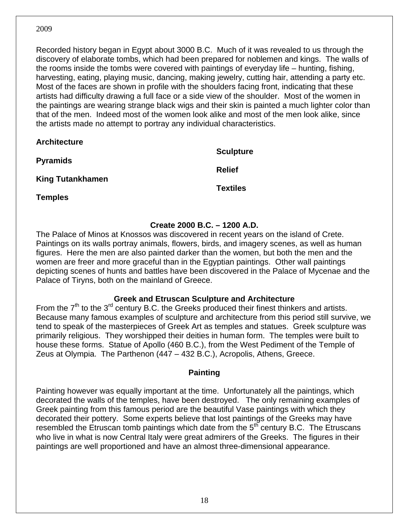Recorded history began in Egypt about 3000 B.C. Much of it was revealed to us through the discovery of elaborate tombs, which had been prepared for noblemen and kings. The walls of the rooms inside the tombs were covered with paintings of everyday life – hunting, fishing, harvesting, eating, playing music, dancing, making jewelry, cutting hair, attending a party etc. Most of the faces are shown in profile with the shoulders facing front, indicating that these artists had difficulty drawing a full face or a side view of the shoulder. Most of the women in the paintings are wearing strange black wigs and their skin is painted a much lighter color than that of the men. Indeed most of the women look alike and most of the men look alike, since the artists made no attempt to portray any individual characteristics.

| <b>Architecture</b>     |                  |
|-------------------------|------------------|
| <b>Pyramids</b>         | <b>Sculpture</b> |
|                         | <b>Relief</b>    |
| <b>King Tutankhamen</b> | <b>Textiles</b>  |
| <b>Temples</b>          |                  |

#### **Create 2000 B.C. – 1200 A.D.**

The Palace of Minos at Knossos was discovered in recent years on the island of Crete. Paintings on its walls portray animals, flowers, birds, and imagery scenes, as well as human figures. Here the men are also painted darker than the women, but both the men and the women are freer and more graceful than in the Egyptian paintings. Other wall paintings depicting scenes of hunts and battles have been discovered in the Palace of Mycenae and the Palace of Tiryns, both on the mainland of Greece.

#### **Greek and Etruscan Sculpture and Architecture**

From the  $7<sup>th</sup>$  to the  $3<sup>rd</sup>$  century B.C. the Greeks produced their finest thinkers and artists. Because many famous examples of sculpture and architecture from this period still survive, we tend to speak of the masterpieces of Greek Art as temples and statues. Greek sculpture was primarily religious. They worshipped their deities in human form. The temples were built to house these forms. Statue of Apollo (460 B.C.), from the West Pediment of the Temple of Zeus at Olympia. The Parthenon (447 – 432 B.C.), Acropolis, Athens, Greece.

#### **Painting**

Painting however was equally important at the time. Unfortunately all the paintings, which decorated the walls of the temples, have been destroyed. The only remaining examples of Greek painting from this famous period are the beautiful Vase paintings with which they decorated their pottery. Some experts believe that lost paintings of the Greeks may have resembled the Etruscan tomb paintings which date from the  $5<sup>th</sup>$  century B.C. The Etruscans who live in what is now Central Italy were great admirers of the Greeks. The figures in their paintings are well proportioned and have an almost three-dimensional appearance.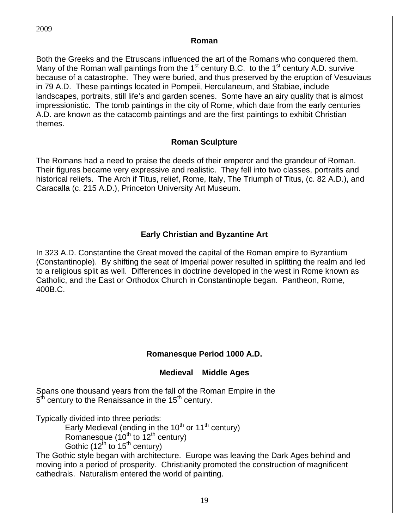#### **Roman**

Both the Greeks and the Etruscans influenced the art of the Romans who conquered them. Many of the Roman wall paintings from the  $1<sup>st</sup>$  century B.C. to the  $1<sup>st</sup>$  century A.D. survive because of a catastrophe. They were buried, and thus preserved by the eruption of Vesuviaus in 79 A.D. These paintings located in Pompeii, Herculaneum, and Stabiae, include landscapes, portraits, still life's and garden scenes. Some have an airy quality that is almost impressionistic. The tomb paintings in the city of Rome, which date from the early centuries A.D. are known as the catacomb paintings and are the first paintings to exhibit Christian themes.

#### **Roman Sculpture**

The Romans had a need to praise the deeds of their emperor and the grandeur of Roman. Their figures became very expressive and realistic. They fell into two classes, portraits and historical reliefs. The Arch if Titus, relief, Rome, Italy, The Triumph of Titus, (c. 82 A.D.), and Caracalla (c. 215 A.D.), Princeton University Art Museum.

#### **Early Christian and Byzantine Art**

In 323 A.D. Constantine the Great moved the capital of the Roman empire to Byzantium (Constantinople). By shifting the seat of Imperial power resulted in splitting the realm and led to a religious split as well. Differences in doctrine developed in the west in Rome known as Catholic, and the East or Orthodox Church in Constantinople began. Pantheon, Rome, 400B.C.

#### **Romanesque Period 1000 A.D.**

#### **Medieval Middle Ages**

Spans one thousand years from the fall of the Roman Empire in the  $5<sup>th</sup>$  century to the Renaissance in the 15<sup>th</sup> century.

Typically divided into three periods:

Early Medieval (ending in the  $10<sup>th</sup>$  or  $11<sup>th</sup>$  century) Romanesque ( $10^{th}$  to  $12^{th}$  century) Gothic (12<sup>th</sup> to 15<sup>th</sup> century)

The Gothic style began with architecture. Europe was leaving the Dark Ages behind and moving into a period of prosperity. Christianity promoted the construction of magnificent cathedrals. Naturalism entered the world of painting.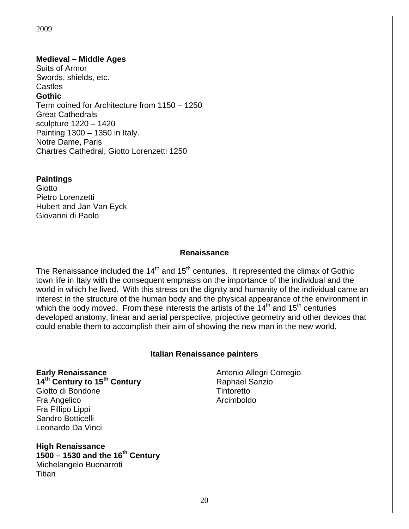#### **Medieval – Middle Ages**

Suits of Armor Swords, shields, etc. Castles **Gothic**  Term coined for Architecture from 1150 – 1250 Great Cathedrals sculpture 1220 – 1420 Painting 1300 – 1350 in Italy. Notre Dame, Paris Chartres Cathedral, Giotto Lorenzetti 1250

#### **Paintings**

**Giotto** Pietro Lorenzetti Hubert and Jan Van Eyck Giovanni di Paolo

#### **Renaissance**

The Renaissance included the  $14<sup>th</sup>$  and  $15<sup>th</sup>$  centuries. It represented the climax of Gothic town life in Italy with the consequent emphasis on the importance of the individual and the world in which he lived. With this stress on the dignity and humanity of the individual came an interest in the structure of the human body and the physical appearance of the environment in which the body moved. From these interests the artists of the  $14<sup>th</sup>$  and  $15<sup>th</sup>$  centuries developed anatomy, linear and aerial perspective, projective geometry and other devices that could enable them to accomplish their aim of showing the new man in the new world.

#### **Italian Renaissance painters**

**Early Renaissance 14th Century to 15th Century**  Giotto di Bondone Fra Angelico Fra Fillipo Lippi Sandro Botticelli Leonardo Da Vinci

Antonio Allegri Corregio Raphael Sanzio **Tintoretto** Arcimboldo

**High Renaissance 1500 – 1530 and the 16th Century**  Michelangelo Buonarroti **Titian**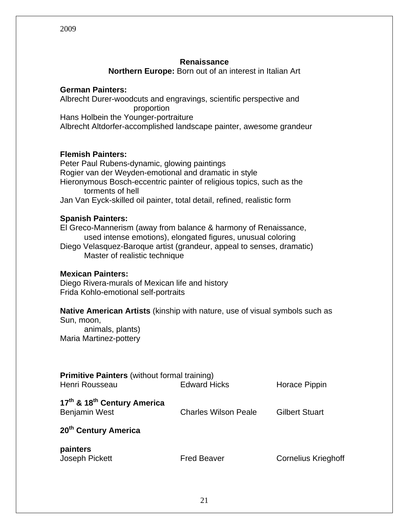#### **Renaissance**

**Northern Europe:** Born out of an interest in Italian Art

#### **German Painters:**

Albrecht Durer-woodcuts and engravings, scientific perspective and proportion Hans Holbein the Younger-portraiture Albrecht Altdorfer-accomplished landscape painter, awesome grandeur

#### **Flemish Painters:**

Peter Paul Rubens-dynamic, glowing paintings Rogier van der Weyden-emotional and dramatic in style Hieronymous Bosch-eccentric painter of religious topics, such as the torments of hell Jan Van Eyck-skilled oil painter, total detail, refined, realistic form

#### **Spanish Painters:**

El Greco-Mannerism (away from balance & harmony of Renaissance, used intense emotions), elongated figures, unusual coloring Diego Velasquez-Baroque artist (grandeur, appeal to senses, dramatic)

Master of realistic technique

#### **Mexican Painters:**

Diego Rivera-murals of Mexican life and history Frida Kohlo-emotional self-portraits

#### **Native American Artists** (kinship with nature, use of visual symbols such as Sun, moon,

 animals, plants) Maria Martinez-pottery

| <b>Primitive Painters (without formal training)</b><br>Henri Rousseau       | <b>Edward Hicks</b>         | Horace Pippin              |
|-----------------------------------------------------------------------------|-----------------------------|----------------------------|
| 17 <sup>th</sup> & 18 <sup>th</sup> Century America<br><b>Benjamin West</b> | <b>Charles Wilson Peale</b> | <b>Gilbert Stuart</b>      |
| 20 <sup>th</sup> Century America                                            |                             |                            |
| painters<br>Joseph Pickett                                                  | <b>Fred Beaver</b>          | <b>Cornelius Krieghoff</b> |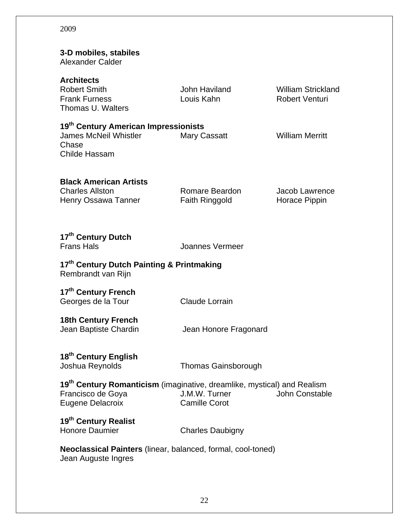| 3-D mobiles, stabiles<br>Alexander Calder                                                                                           |                                         |                                                    |  |
|-------------------------------------------------------------------------------------------------------------------------------------|-----------------------------------------|----------------------------------------------------|--|
| <b>Architects</b><br><b>Robert Smith</b><br><b>Frank Furness</b><br>Thomas U. Walters                                               | John Haviland<br>Louis Kahn             | <b>William Strickland</b><br><b>Robert Venturi</b> |  |
| 19 <sup>th</sup> Century American Impressionists<br><b>James McNeil Whistler</b><br>Chase<br><b>Childe Hassam</b>                   | <b>Mary Cassatt</b>                     | <b>William Merritt</b>                             |  |
| <b>Black American Artists</b><br><b>Charles Allston</b><br>Henry Ossawa Tanner                                                      | Romare Beardon<br><b>Faith Ringgold</b> | Jacob Lawrence<br>Horace Pippin                    |  |
| 17 <sup>th</sup> Century Dutch<br><b>Frans Hals</b>                                                                                 | Joannes Vermeer                         |                                                    |  |
| 17th Century Dutch Painting & Printmaking<br>Rembrandt van Rijn                                                                     |                                         |                                                    |  |
| 17 <sup>th</sup> Century French<br>Georges de la Tour                                                                               | <b>Claude Lorrain</b>                   |                                                    |  |
| <b>18th Century French</b><br>Jean Baptiste Chardin                                                                                 | Jean Honore Fragonard                   |                                                    |  |
| 18 <sup>th</sup> Century English<br>Joshua Reynolds                                                                                 | <b>Thomas Gainsborough</b>              |                                                    |  |
| 19 <sup>th</sup> Century Romanticism (imaginative, dreamlike, mystical) and Realism<br>Francisco de Goya<br><b>Eugene Delacroix</b> | J.M.W. Turner<br><b>Camille Corot</b>   | John Constable                                     |  |
| 19 <sup>th</sup> Century Realist<br><b>Honore Daumier</b>                                                                           | <b>Charles Daubigny</b>                 |                                                    |  |
| <b>Neoclassical Painters</b> (linear, balanced, formal, cool-toned)<br>Jean Auguste Ingres                                          |                                         |                                                    |  |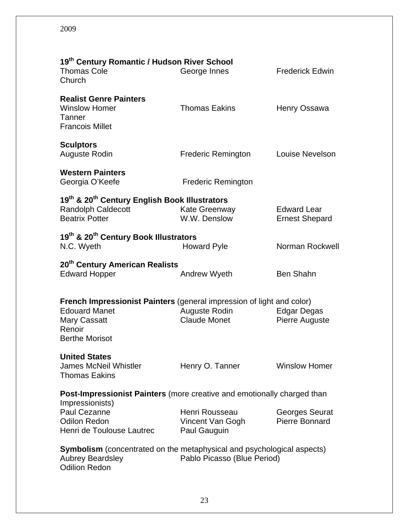| 19th Century Romantic / Hudson River School<br><b>Thomas Cole</b><br>Church                                                                                     | George Innes                                       | <b>Frederick Edwin</b>                      |  |  |
|-----------------------------------------------------------------------------------------------------------------------------------------------------------------|----------------------------------------------------|---------------------------------------------|--|--|
| <b>Realist Genre Painters</b><br><b>Winslow Homer</b><br>Tanner<br><b>Francois Millet</b>                                                                       | <b>Thomas Eakins</b>                               | Henry Ossawa                                |  |  |
| <b>Sculptors</b><br>Auguste Rodin                                                                                                                               | <b>Frederic Remington</b>                          | Louise Nevelson                             |  |  |
| <b>Western Painters</b><br>Georgia O'Keefe                                                                                                                      | <b>Frederic Remington</b>                          |                                             |  |  |
| 19th & 20th Century English Book Illustrators<br><b>Randolph Caldecott</b><br><b>Beatrix Potter</b>                                                             | Kate Greenway<br>W.W. Denslow                      | <b>Edward Lear</b><br><b>Ernest Shepard</b> |  |  |
| 19th & 20th Century Book Illustrators<br>N.C. Wyeth                                                                                                             | <b>Howard Pyle</b>                                 | Norman Rockwell                             |  |  |
| 20 <sup>th</sup> Century American Realists<br><b>Edward Hopper</b>                                                                                              | <b>Andrew Wyeth</b>                                | <b>Ben Shahn</b>                            |  |  |
| <b>French Impressionist Painters</b> (general impression of light and color)<br><b>Edouard Manet</b><br><b>Mary Cassatt</b><br>Renoir<br><b>Berthe Morisot</b>  | <b>Auguste Rodin</b><br><b>Claude Monet</b>        | <b>Edgar Degas</b><br><b>Pierre Auguste</b> |  |  |
| <b>United States</b><br>James McNeil Whistler<br><b>Thomas Eakins</b>                                                                                           | Henry O. Tanner                                    | <b>Winslow Homer</b>                        |  |  |
| <b>Post-Impressionist Painters</b> (more creative and emotionally charged than<br>Impressionists)                                                               |                                                    |                                             |  |  |
| <b>Paul Cezanne</b><br><b>Odilon Redon</b><br>Henri de Toulouse Lautrec                                                                                         | Henri Rousseau<br>Vincent Van Gogh<br>Paul Gauguin | Georges Seurat<br>Pierre Bonnard            |  |  |
| <b>Symbolism</b> (concentrated on the metaphysical and psychological aspects)<br><b>Aubrey Beardsley</b><br>Pablo Picasso (Blue Period)<br><b>Odilion Redon</b> |                                                    |                                             |  |  |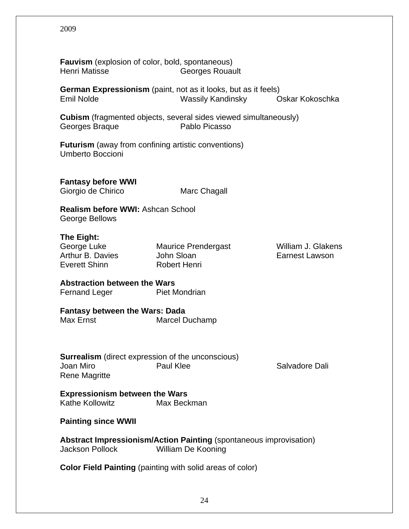| <b>Fauvism</b> (explosion of color, bold, spontaneous)<br><b>Henri Matisse</b>                                                   | <b>Georges Rouault</b>                                                                     |                                             |  |  |
|----------------------------------------------------------------------------------------------------------------------------------|--------------------------------------------------------------------------------------------|---------------------------------------------|--|--|
| <b>Emil Nolde</b>                                                                                                                | <b>German Expressionism</b> (paint, not as it looks, but as it feels)<br>Wassily Kandinsky | Oskar Kokoschka                             |  |  |
| <b>Cubism</b> (fragmented objects, several sides viewed simultaneously)<br>Pablo Picasso<br>Georges Braque                       |                                                                                            |                                             |  |  |
| <b>Futurism</b> (away from confining artistic conventions)<br><b>Umberto Boccioni</b>                                            |                                                                                            |                                             |  |  |
| <b>Fantasy before WWI</b><br>Giorgio de Chirico                                                                                  | Marc Chagall                                                                               |                                             |  |  |
| <b>Realism before WWI: Ashcan School</b><br>George Bellows                                                                       |                                                                                            |                                             |  |  |
| The Eight:<br>George Luke<br>Arthur B. Davies<br>Everett Shinn                                                                   | <b>Maurice Prendergast</b><br>John Sloan<br>Robert Henri                                   | William J. Glakens<br><b>Earnest Lawson</b> |  |  |
| <b>Abstraction between the Wars</b><br>Fernand Leger Piet Mondrian                                                               |                                                                                            |                                             |  |  |
| <b>Fantasy between the Wars: Dada</b><br>Max Ernst                                                                               | Marcel Duchamp                                                                             |                                             |  |  |
| <b>Surrealism</b> (direct expression of the unconscious)<br>Joan Miro<br>Paul Klee<br>Salvadore Dali<br><b>Rene Magritte</b>     |                                                                                            |                                             |  |  |
| <b>Expressionism between the Wars</b><br><b>Kathe Kollowitz</b><br>Max Beckman                                                   |                                                                                            |                                             |  |  |
| <b>Painting since WWII</b>                                                                                                       |                                                                                            |                                             |  |  |
| <b>Abstract Impressionism/Action Painting (spontaneous improvisation)</b><br><b>Jackson Pollock</b><br><b>William De Kooning</b> |                                                                                            |                                             |  |  |
| <b>Color Field Painting (painting with solid areas of color)</b>                                                                 |                                                                                            |                                             |  |  |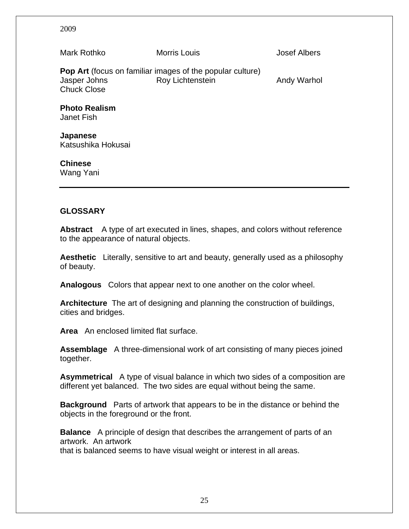Mark Rothko Morris Louis Josef Albers **Pop Art** (focus on familiar images of the popular culture) Jasper Johns **Roy Lichtenstein** Andy Warhol Chuck Close **Photo Realism**  Janet Fish **Japanese**  Katsushika Hokusai **Chinese** 

#### **GLOSSARY**

Wang Yani

**Abstract** A type of art executed in lines, shapes, and colors without reference to the appearance of natural objects.

**Aesthetic** Literally, sensitive to art and beauty, generally used as a philosophy of beauty.

**Analogous** Colors that appear next to one another on the color wheel.

**Architecture** The art of designing and planning the construction of buildings, cities and bridges.

**Area** An enclosed limited flat surface.

**Assemblage** A three-dimensional work of art consisting of many pieces joined together.

**Asymmetrical** A type of visual balance in which two sides of a composition are different yet balanced. The two sides are equal without being the same.

**Background** Parts of artwork that appears to be in the distance or behind the objects in the foreground or the front.

**Balance** A principle of design that describes the arrangement of parts of an artwork. An artwork that is balanced seems to have visual weight or interest in all areas.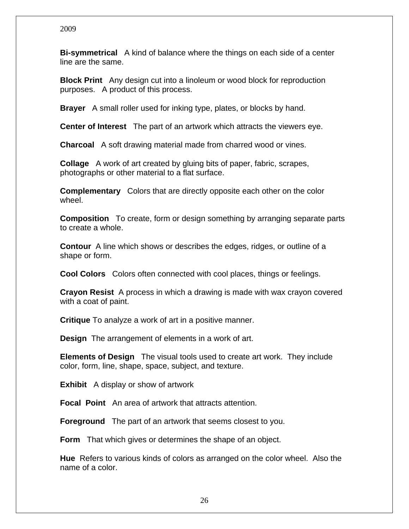**Bi-symmetrical** A kind of balance where the things on each side of a center line are the same.

**Block Print** Any design cut into a linoleum or wood block for reproduction purposes. A product of this process.

**Brayer** A small roller used for inking type, plates, or blocks by hand.

**Center of Interest** The part of an artwork which attracts the viewers eye.

**Charcoal** A soft drawing material made from charred wood or vines.

**Collage** A work of art created by gluing bits of paper, fabric, scrapes, photographs or other material to a flat surface.

**Complementary** Colors that are directly opposite each other on the color wheel.

**Composition** To create, form or design something by arranging separate parts to create a whole.

**Contour** A line which shows or describes the edges, ridges, or outline of a shape or form.

**Cool Colors** Colors often connected with cool places, things or feelings.

**Crayon Resist** A process in which a drawing is made with wax crayon covered with a coat of paint.

**Critique** To analyze a work of art in a positive manner.

**Design** The arrangement of elements in a work of art.

**Elements of Design** The visual tools used to create art work. They include color, form, line, shape, space, subject, and texture.

**Exhibit** A display or show of artwork

**Focal Point** An area of artwork that attracts attention.

**Foreground** The part of an artwork that seems closest to you.

**Form** That which gives or determines the shape of an object.

**Hue** Refers to various kinds of colors as arranged on the color wheel. Also the name of a color.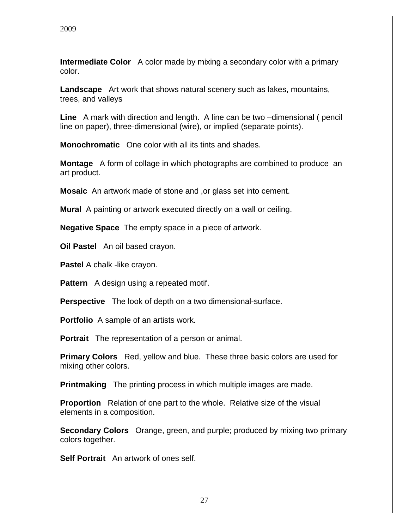**Intermediate Color** A color made by mixing a secondary color with a primary color.

**Landscape** Art work that shows natural scenery such as lakes, mountains, trees, and valleys

**Line** A mark with direction and length. A line can be two –dimensional ( pencil line on paper), three-dimensional (wire), or implied (separate points).

**Monochromatic** One color with all its tints and shades.

**Montage** A form of collage in which photographs are combined to produce an art product.

**Mosaic** An artwork made of stone and ,or glass set into cement.

**Mural** A painting or artwork executed directly on a wall or ceiling.

**Negative Space** The empty space in a piece of artwork.

**Oil Pastel** An oil based crayon.

**Pastel** A chalk -like crayon.

**Pattern** A design using a repeated motif.

**Perspective** The look of depth on a two dimensional-surface.

**Portfolio** A sample of an artists work.

**Portrait** The representation of a person or animal.

**Primary Colors** Red, yellow and blue. These three basic colors are used for mixing other colors.

**Printmaking** The printing process in which multiple images are made.

**Proportion** Relation of one part to the whole. Relative size of the visual elements in a composition.

**Secondary Colors** Orange, green, and purple; produced by mixing two primary colors together.

**Self Portrait** An artwork of ones self.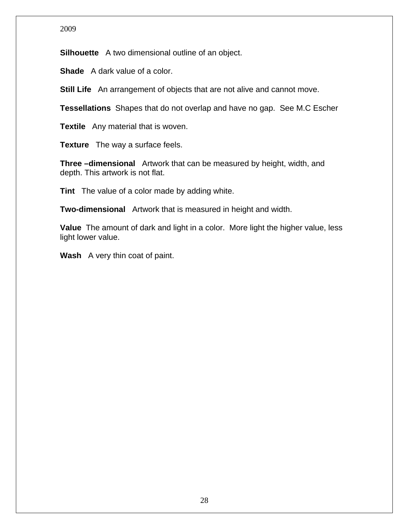**Silhouette** A two dimensional outline of an object.

**Shade** A dark value of a color.

**Still Life** An arrangement of objects that are not alive and cannot move.

**Tessellations** Shapes that do not overlap and have no gap. See M.C Escher

**Textile** Any material that is woven.

**Texture** The way a surface feels.

**Three –dimensional** Artwork that can be measured by height, width, and depth. This artwork is not flat.

**Tint** The value of a color made by adding white.

**Two-dimensional** Artwork that is measured in height and width.

**Value** The amount of dark and light in a color. More light the higher value, less light lower value.

**Wash** A very thin coat of paint.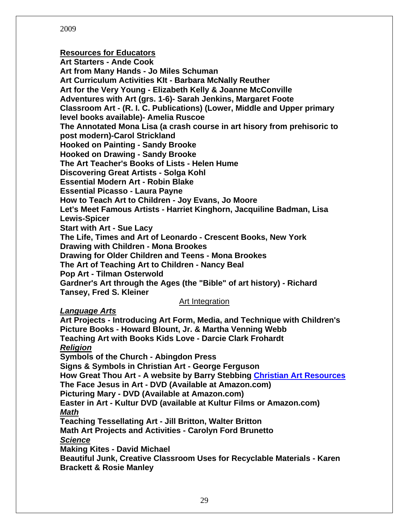#### **Resources for Educators**

**Art Starters - Ande Cook Art from Many Hands - Jo Miles Schuman Art Curriculum Activities KIt - Barbara McNally Reuther Art for the Very Young - Elizabeth Kelly & Joanne McConville Adventures with Art (grs. 1-6)- Sarah Jenkins, Margaret Foote Classroom Art - (R. I. C. Publications) (Lower, Middle and Upper primary level books available)- Amelia Ruscoe The Annotated Mona Lisa (a crash course in art hisory from prehisoric to post modern)-Carol Strickland Hooked on Painting - Sandy Brooke Hooked on Drawing - Sandy Brooke The Art Teacher's Books of Lists - Helen Hume Discovering Great Artists - Solga Kohl Essential Modern Art - Robin Blake Essential Picasso - Laura Payne How to Teach Art to Children - Joy Evans, Jo Moore Let's Meet Famous Artists - Harriet Kinghorn, Jacquiline Badman, Lisa Lewis-Spicer Start with Art - Sue Lacy The Life, Times and Art of Leonardo - Crescent Books, New York Drawing with Children - Mona Brookes Drawing for Older Children and Teens - Mona Brookes The Art of Teaching Art to Children - Nancy Beal Pop Art - Tilman Osterwold Gardner's Art through the Ages (the "Bible" of art history) - Richard Tansey, Fred S. Kleiner** 

#### Art Integration

*Language Arts*

**Art Projects - Introducing Art Form, Media, and Technique with Children's Picture Books - Howard Blount, Jr. & Martha Venning Webb Teaching Art with Books Kids Love - Darcie Clark Frohardt**  *Religion* **Symbols of the Church - Abingdon Press Signs & Symbols in Christian Art - George Ferguson How Great Thou Art - A website by Barry Stebbing Christian Art Resources The Face Jesus in Art - DVD (Available at Amazon.com) Picturing Mary - DVD (Available at Amazon.com) Easter in Art - Kultur DVD (available at Kultur Films or Amazon.com)**  *Math* **Teaching Tessellating Art - Jill Britton, Walter Britton Math Art Projects and Activities - Carolyn Ford Brunetto**  *Science* **Making Kites - David Michael Beautiful Junk, Creative Classroom Uses for Recyclable Materials - Karen Brackett & Rosie Manley**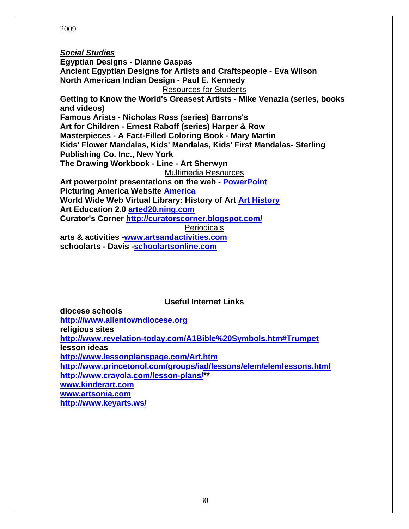*Social Studies* **Egyptian Designs - Dianne Gaspas Ancient Egyptian Designs for Artists and Craftspeople - Eva Wilson North American Indian Design - Paul E. Kennedy**  Resources for Students **Getting to Know the World's Greasest Artists - Mike Venazia (series, books and videos) Famous Arists - Nicholas Ross (series) Barrons's Art for Children - Ernest Raboff (series) Harper & Row Masterpieces - A Fact-Filled Coloring Book - Mary Martin Kids' Flower Mandalas, Kids' Mandalas, Kids' First Mandalas- Sterling Publishing Co. Inc., New York The Drawing Workbook - Line - Art Sherwyn**  Multimedia Resources **Art powerpoint presentations on the web - PowerPoint Picturing America Website America World Wide Web Virtual Library: History of Art Art History Art Education 2.0 arted20.ning.com Curator's Corner http://curatorscorner.blogspot.com/** Periodicals **arts & activities -www.artsandactivities.com schoolarts - Davis -schoolartsonline.com**

**Useful Internet Links** 

**diocese schools http:///www.allentowndiocese.org religious sites http://www.revelation-today.com/A1Bible%20Symbols.htm#Trumpet lesson ideas http://www.lessonplanspage.com/Art.htm http://www.princetonol.com/groups/iad/lessons/elem/elemlessons.html http://www.crayola.com/lesson-plans/\*\* www.kinderart.com www.artsonia.com http://www.keyarts.ws/**